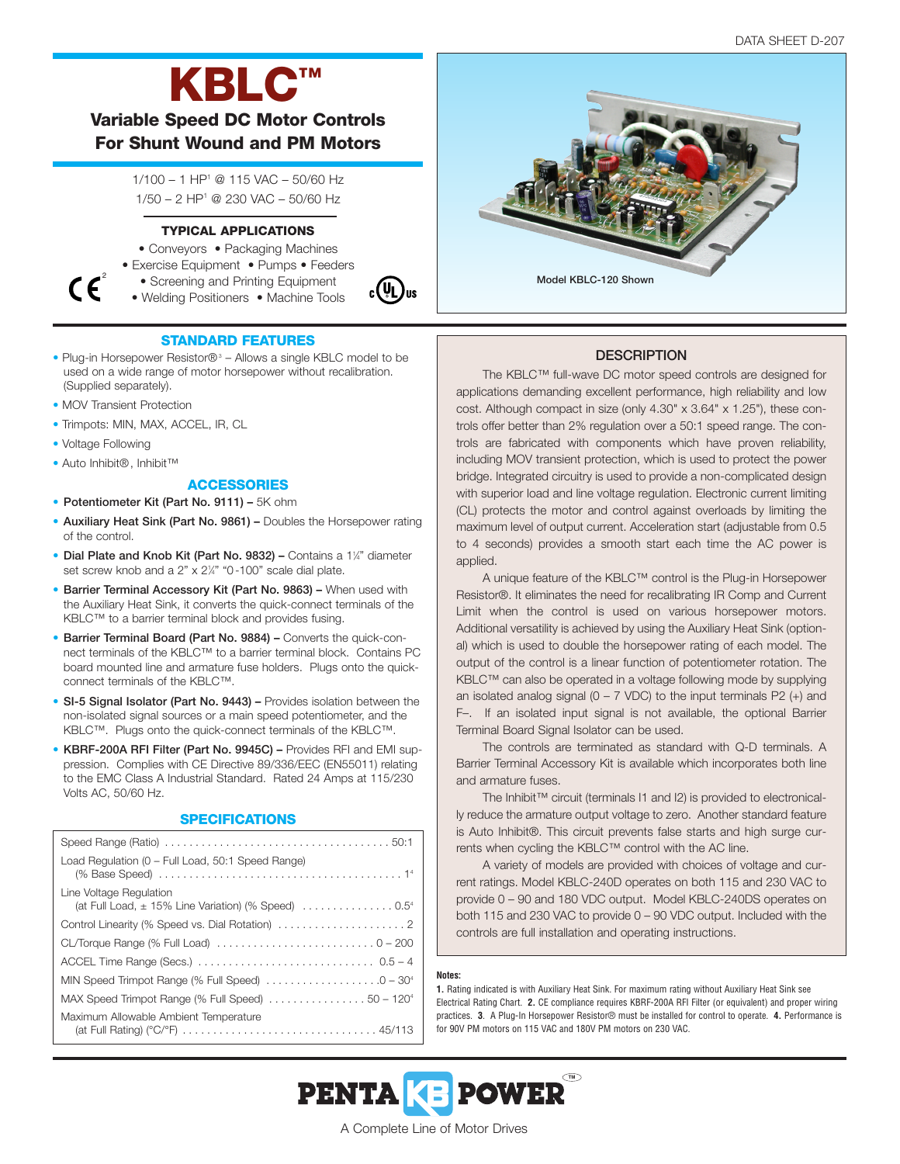# **KBLC™**

**Variable Speed DC Motor Controls For Shunt Wound and PM Motors**

> 1/100 – 1 HP1 @ 115 VAC – 50/60 Hz 1/50 – 2 HP1 @ 230 VAC – 50/60 Hz

### **TYPICAL APPLICATIONS**

- Conveyors Packaging Machines
- Exercise Equipment Pumps Feeders



• Welding Positioners • Machine Tools



## **STANDARD FEATURES**

- Plug-in Horsepower Resistor $\mathbb{B}^3$  Allows a single KBLC model to be used on a wide range of motor horsepower without recalibration. (Supplied separately).
- MOV Transient Protection
- Trimpots: MIN, MAX, ACCEL, IR, CL
- Voltage Following

 $\mathcal{C}$ 

• Auto Inhibit®, Inhibit™

## **ACCESSORIES**

- **Potentiometer Kit (Part No. 9111) –** 5K ohm
- **Auxiliary Heat Sink (Part No. 9861) –** Doubles the Horsepower rating of the control.
- **Dial Plate and Knob Kit (Part No. 9832)** Contains a 1<sup>1</sup>/4" diameter set screw knob and a 2" x 2¼" "0-100" scale dial plate.
- **Barrier Terminal Accessory Kit (Part No. 9863) –** When used with the Auxiliary Heat Sink, it converts the quick-connect terminals of the KBLC™ to a barrier terminal block and provides fusing.
- **Barrier Terminal Board (Part No. 9884) –** Converts the quick-connect terminals of the KBLC™ to a barrier terminal block. Contains PC board mounted line and armature fuse holders. Plugs onto the quickconnect terminals of the KBLC™.
- **SI-5 Signal Isolator (Part No. 9443) –** Provides isolation between the non-isolated signal sources or a main speed potentiometer, and the KBLC™. Plugs onto the quick-connect terminals of the KBLC™.
- **KBRF-200A RFI Filter (Part No. 9945C) –** Provides RFI and EMI suppression. Complies with CE Directive 89/336/EEC (EN55011) relating to the EMC Class A Industrial Standard. Rated 24 Amps at 115/230 Volts AC, 50/60 Hz.

#### **SPECIFICATIONS**

| Load Regulation (0 - Full Load, 50:1 Speed Range)                                                                  |
|--------------------------------------------------------------------------------------------------------------------|
| Line Voltage Regulation<br>(at Full Load, $\pm$ 15% Line Variation) (% Speed) $\ldots \ldots \ldots \ldots \ldots$ |
|                                                                                                                    |
|                                                                                                                    |
|                                                                                                                    |
| MIN Speed Trimpot Range (% Full Speed) $\ldots \ldots \ldots \ldots \ldots \ldots \ldots$                          |
| MAX Speed Trimpot Range (% Full Speed) $\ldots \ldots \ldots \ldots \ldots 50 - 120^4$                             |
| Maximum Allowable Ambient Temperature<br>(at Full Rating) (°C/°F) 45/113                                           |



## **DESCRIPTION**

The KBLC™ full-wave DC motor speed controls are designed for applications demanding excellent performance, high reliability and low cost. Although compact in size (only 4.30" x 3.64" x 1.25"), these controls offer better than 2% regulation over a 50:1 speed range. The controls are fabricated with components which have proven reliability, including MOV transient protection, which is used to protect the power bridge. Integrated circuitry is used to provide a non-complicated design with superior load and line voltage regulation. Electronic current limiting (CL) protects the motor and control against overloads by limiting the maximum level of output current. Acceleration start (adjustable from 0.5 to 4 seconds) provides a smooth start each time the AC power is applied.

A unique feature of the KBLC™ control is the Plug-in Horsepower Resistor®. It eliminates the need for recalibrating IR Comp and Current Limit when the control is used on various horsepower motors. Additional versatility is achieved by using the Auxiliary Heat Sink (optional) which is used to double the horsepower rating of each model. The output of the control is a linear function of potentiometer rotation. The KBLC™ can also be operated in a voltage following mode by supplying an isolated analog signal ( $0 - 7$  VDC) to the input terminals P2 (+) and F–. If an isolated input signal is not available, the optional Barrier Terminal Board Signal Isolator can be used.

The controls are terminated as standard with Q-D terminals. A Barrier Terminal Accessory Kit is available which incorporates both line and armature fuses.

The Inhibit™ circuit (terminals I1 and I2) is provided to electronically reduce the armature output voltage to zero. Another standard feature is Auto Inhibit®. This circuit prevents false starts and high surge currents when cycling the KBLC™ control with the AC line.

A variety of models are provided with choices of voltage and current ratings. Model KBLC-240D operates on both 115 and 230 VAC to provide 0 – 90 and 180 VDC output. Model KBLC-240DS operates on both 115 and 230 VAC to provide 0 – 90 VDC output. Included with the controls are full installation and operating instructions.

#### **Notes:**

**1.** Rating indicated is with Auxiliary Heat Sink. For maximum rating without Auxiliary Heat Sink see Electrical Rating Chart. **2.** CE compliance requires KBRF-200A RFI Filter (or equivalent) and proper wiring practices. **3**. A Plug-In Horsepower Resistor® must be installed for control to operate. **4.** Performance is for 90V PM motors on 115 VAC and 180V PM motors on 230 VAC.



A Complete Line of Motor Drives